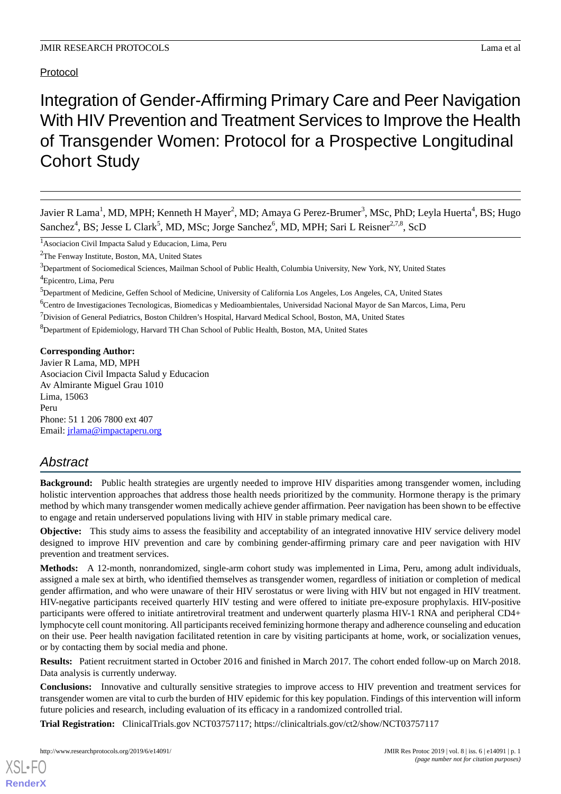# Protocol

Integration of Gender-Affirming Primary Care and Peer Navigation With HIV Prevention and Treatment Services to Improve the Health of Transgender Women: Protocol for a Prospective Longitudinal Cohort Study

Javier R Lama<sup>1</sup>, MD, MPH; Kenneth H Mayer<sup>2</sup>, MD; Amaya G Perez-Brumer<sup>3</sup>, MSc, PhD; Leyla Huerta<sup>4</sup>, BS; Hugo Sanchez<sup>4</sup>, BS; Jesse L Clark<sup>5</sup>, MD, MSc; Jorge Sanchez<sup>6</sup>, MD, MPH; Sari L Reisner<sup>2,7,8</sup>, ScD

# **Corresponding Author:**

Javier R Lama, MD, MPH Asociacion Civil Impacta Salud y Educacion Av Almirante Miguel Grau 1010 Lima, 15063 Peru Phone: 51 1 206 7800 ext 407 Email: [jrlama@impactaperu.org](mailto:jrlama@impactaperu.org)

# *Abstract*

**Background:** Public health strategies are urgently needed to improve HIV disparities among transgender women, including holistic intervention approaches that address those health needs prioritized by the community. Hormone therapy is the primary method by which many transgender women medically achieve gender affirmation. Peer navigation has been shown to be effective to engage and retain underserved populations living with HIV in stable primary medical care.

**Objective:** This study aims to assess the feasibility and acceptability of an integrated innovative HIV service delivery model designed to improve HIV prevention and care by combining gender-affirming primary care and peer navigation with HIV prevention and treatment services.

**Methods:** A 12-month, nonrandomized, single-arm cohort study was implemented in Lima, Peru, among adult individuals, assigned a male sex at birth, who identified themselves as transgender women, regardless of initiation or completion of medical gender affirmation, and who were unaware of their HIV serostatus or were living with HIV but not engaged in HIV treatment. HIV-negative participants received quarterly HIV testing and were offered to initiate pre-exposure prophylaxis. HIV-positive participants were offered to initiate antiretroviral treatment and underwent quarterly plasma HIV-1 RNA and peripheral CD4+ lymphocyte cell count monitoring. All participants received feminizing hormone therapy and adherence counseling and education on their use. Peer health navigation facilitated retention in care by visiting participants at home, work, or socialization venues, or by contacting them by social media and phone.

**Results:** Patient recruitment started in October 2016 and finished in March 2017. The cohort ended follow-up on March 2018. Data analysis is currently underway.

**Conclusions:** Innovative and culturally sensitive strategies to improve access to HIV prevention and treatment services for transgender women are vital to curb the burden of HIV epidemic for this key population. Findings of this intervention will inform future policies and research, including evaluation of its efficacy in a randomized controlled trial.

**Trial Registration:** ClinicalTrials.gov NCT03757117; https://clinicaltrials.gov/ct2/show/NCT03757117

<sup>1</sup>Asociacion Civil Impacta Salud y Educacion, Lima, Peru

<sup>2</sup>The Fenway Institute, Boston, MA, United States

 $3$ Department of Sociomedical Sciences, Mailman School of Public Health, Columbia University, New York, NY, United States

<sup>4</sup>Epicentro, Lima, Peru

<sup>5</sup>Department of Medicine, Geffen School of Medicine, University of California Los Angeles, Los Angeles, CA, United States

<sup>6</sup>Centro de Investigaciones Tecnologicas, Biomedicas y Medioambientales, Universidad Nacional Mayor de San Marcos, Lima, Peru

<sup>7</sup>Division of General Pediatrics, Boston Children's Hospital, Harvard Medical School, Boston, MA, United States

<sup>&</sup>lt;sup>8</sup>Department of Epidemiology, Harvard TH Chan School of Public Health, Boston, MA, United States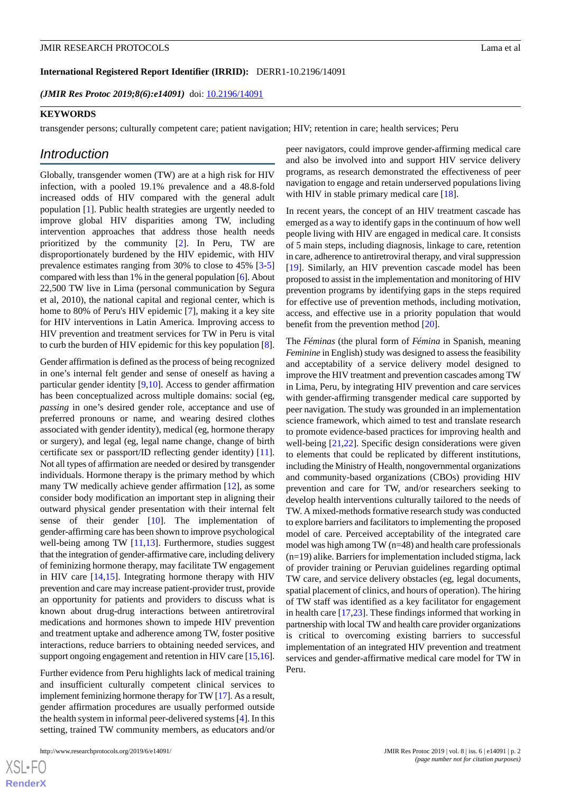#### **International Registered Report Identifier (IRRID):** DERR1-10.2196/14091

*(JMIR Res Protoc 2019;8(6):e14091)* doi:  $\frac{10.2196}{14091}$ 

#### **KEYWORDS**

transgender persons; culturally competent care; patient navigation; HIV; retention in care; health services; Peru

# *Introduction*

Globally, transgender women (TW) are at a high risk for HIV infection, with a pooled 19.1% prevalence and a 48.8-fold increased odds of HIV compared with the general adult population [[1](#page-8-0)]. Public health strategies are urgently needed to improve global HIV disparities among TW, including intervention approaches that address those health needs prioritized by the community [[2\]](#page-8-1). In Peru, TW are disproportionately burdened by the HIV epidemic, with HIV prevalence estimates ranging from 30% to close to 45% [[3](#page-8-2)[-5](#page-8-3)] compared with less than 1% in the general population [\[6](#page-8-4)]. About 22,500 TW live in Lima (personal communication by Segura et al, 2010), the national capital and regional center, which is home to 80% of Peru's HIV epidemic [[7](#page-8-5)], making it a key site for HIV interventions in Latin America. Improving access to HIV prevention and treatment services for TW in Peru is vital to curb the burden of HIV epidemic for this key population [[8\]](#page-9-0).

Gender affirmation is defined as the process of being recognized in one's internal felt gender and sense of oneself as having a particular gender identity [[9](#page-9-1)[,10](#page-9-2)]. Access to gender affirmation has been conceptualized across multiple domains: social (eg, *passing* in one's desired gender role, acceptance and use of preferred pronouns or name, and wearing desired clothes associated with gender identity), medical (eg, hormone therapy or surgery), and legal (eg, legal name change, change of birth certificate sex or passport/ID reflecting gender identity) [[11\]](#page-9-3). Not all types of affirmation are needed or desired by transgender individuals. Hormone therapy is the primary method by which many TW medically achieve gender affirmation [[12\]](#page-9-4), as some consider body modification an important step in aligning their outward physical gender presentation with their internal felt sense of their gender [\[10](#page-9-2)]. The implementation of gender-affirming care has been shown to improve psychological well-being among TW [\[11](#page-9-3),[13\]](#page-9-5). Furthermore, studies suggest that the integration of gender-affirmative care, including delivery of feminizing hormone therapy, may facilitate TW engagement in HIV care [[14,](#page-9-6)[15](#page-9-7)]. Integrating hormone therapy with HIV prevention and care may increase patient-provider trust, provide an opportunity for patients and providers to discuss what is known about drug-drug interactions between antiretroviral medications and hormones shown to impede HIV prevention and treatment uptake and adherence among TW, foster positive interactions, reduce barriers to obtaining needed services, and support ongoing engagement and retention in HIV care [[15](#page-9-7),[16\]](#page-9-8).

Further evidence from Peru highlights lack of medical training and insufficient culturally competent clinical services to implement feminizing hormone therapy for TW [\[17](#page-9-9)]. As a result, gender affirmation procedures are usually performed outside the health system in informal peer-delivered systems [\[4](#page-8-6)]. In this setting, trained TW community members, as educators and/or

peer navigators, could improve gender-affirming medical care and also be involved into and support HIV service delivery programs, as research demonstrated the effectiveness of peer navigation to engage and retain underserved populations living with HIV in stable primary medical care [\[18](#page-9-10)].

In recent years, the concept of an HIV treatment cascade has emerged as a way to identify gaps in the continuum of how well people living with HIV are engaged in medical care. It consists of 5 main steps, including diagnosis, linkage to care, retention in care, adherence to antiretroviral therapy, and viral suppression [[19\]](#page-9-11). Similarly, an HIV prevention cascade model has been proposed to assist in the implementation and monitoring of HIV prevention programs by identifying gaps in the steps required for effective use of prevention methods, including motivation, access, and effective use in a priority population that would benefit from the prevention method [\[20](#page-9-12)].

The *Féminas* (the plural form of *Fémina* in Spanish, meaning *Feminine* in English) study was designed to assess the feasibility and acceptability of a service delivery model designed to improve the HIV treatment and prevention cascades among TW in Lima, Peru, by integrating HIV prevention and care services with gender-affirming transgender medical care supported by peer navigation. The study was grounded in an implementation science framework, which aimed to test and translate research to promote evidence-based practices for improving health and well-being [[21,](#page-9-13)[22](#page-9-14)]. Specific design considerations were given to elements that could be replicated by different institutions, including the Ministry of Health, nongovernmental organizations and community-based organizations (CBOs) providing HIV prevention and care for TW, and/or researchers seeking to develop health interventions culturally tailored to the needs of TW. A mixed-methods formative research study was conducted to explore barriers and facilitators to implementing the proposed model of care. Perceived acceptability of the integrated care model was high among TW (n=48) and health care professionals (n=19) alike. Barriers for implementation included stigma, lack of provider training or Peruvian guidelines regarding optimal TW care, and service delivery obstacles (eg, legal documents, spatial placement of clinics, and hours of operation). The hiring of TW staff was identified as a key facilitator for engagement in health care [\[17](#page-9-9),[23\]](#page-9-15). These findings informed that working in partnership with local TW and health care provider organizations is critical to overcoming existing barriers to successful implementation of an integrated HIV prevention and treatment services and gender-affirmative medical care model for TW in Peru.

 $XSI - F($ **[RenderX](http://www.renderx.com/)**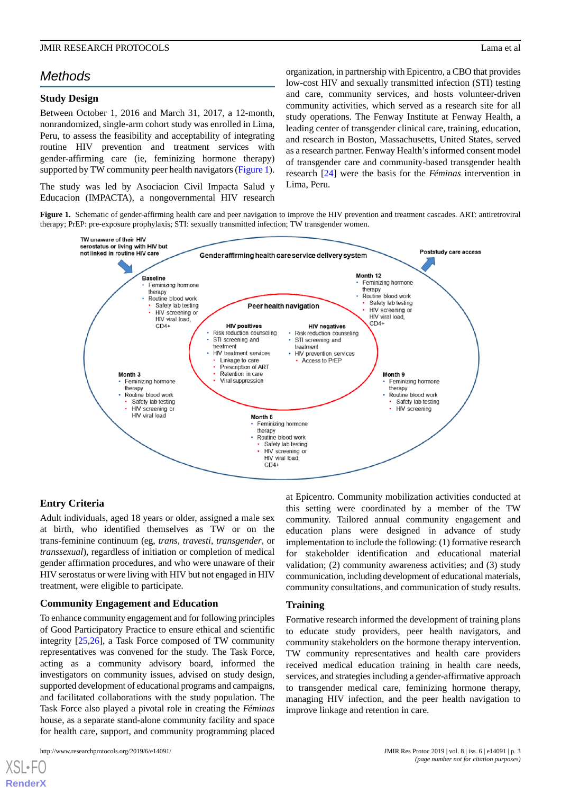# *Methods*

# **Study Design**

Between October 1, 2016 and March 31, 2017, a 12-month, nonrandomized, single-arm cohort study was enrolled in Lima, Peru, to assess the feasibility and acceptability of integrating routine HIV prevention and treatment services with gender-affirming care (ie, feminizing hormone therapy) supported by TW community peer health navigators ([Figure 1\)](#page-2-0).

<span id="page-2-0"></span>The study was led by Asociacion Civil Impacta Salud y Educacion (IMPACTA), a nongovernmental HIV research

organization, in partnership with Epicentro, a CBO that provides low-cost HIV and sexually transmitted infection (STI) testing and care, community services, and hosts volunteer-driven community activities, which served as a research site for all study operations. The Fenway Institute at Fenway Health, a leading center of transgender clinical care, training, education, and research in Boston, Massachusetts, United States, served as a research partner. Fenway Health's informed consent model of transgender care and community-based transgender health research [\[24](#page-9-16)] were the basis for the *Féminas* intervention in Lima, Peru.

**Figure 1.** Schematic of gender-affirming health care and peer navigation to improve the HIV prevention and treatment cascades. ART: antiretroviral therapy; PrEP: pre-exposure prophylaxis; STI: sexually transmitted infection; TW transgender women.



# **Entry Criteria**

Adult individuals, aged 18 years or older, assigned a male sex at birth, who identified themselves as TW or on the trans-feminine continuum (eg, *trans*, *travesti*, *transgender*, or *transsexual*), regardless of initiation or completion of medical gender affirmation procedures, and who were unaware of their HIV serostatus or were living with HIV but not engaged in HIV treatment, were eligible to participate.

# **Community Engagement and Education**

To enhance community engagement and for following principles of Good Participatory Practice to ensure ethical and scientific integrity [\[25](#page-9-17),[26\]](#page-9-18), a Task Force composed of TW community representatives was convened for the study. The Task Force, acting as a community advisory board, informed the investigators on community issues, advised on study design, supported development of educational programs and campaigns, and facilitated collaborations with the study population. The Task Force also played a pivotal role in creating the *Féminas* house, as a separate stand-alone community facility and space for health care, support, and community programming placed

http://www.researchprotocols.org/2019/6/e14091/ JMIR Res Protoc 2019 | vol. 8 | iss. 6 | e14091 | p. 3

 $XSI - F($ **[RenderX](http://www.renderx.com/)** at Epicentro. Community mobilization activities conducted at this setting were coordinated by a member of the TW community. Tailored annual community engagement and education plans were designed in advance of study implementation to include the following: (1) formative research for stakeholder identification and educational material validation; (2) community awareness activities; and (3) study communication, including development of educational materials, community consultations, and communication of study results.

#### **Training**

Formative research informed the development of training plans to educate study providers, peer health navigators, and community stakeholders on the hormone therapy intervention. TW community representatives and health care providers received medical education training in health care needs, services, and strategies including a gender-affirmative approach to transgender medical care, feminizing hormone therapy, managing HIV infection, and the peer health navigation to improve linkage and retention in care.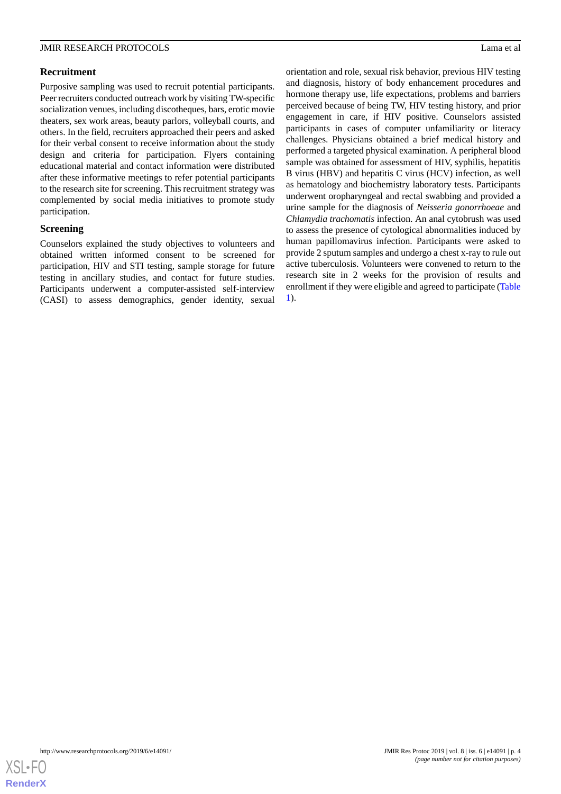# **Recruitment**

Purposive sampling was used to recruit potential participants. Peer recruiters conducted outreach work by visiting TW-specific socialization venues, including discotheques, bars, erotic movie theaters, sex work areas, beauty parlors, volleyball courts, and others. In the field, recruiters approached their peers and asked for their verbal consent to receive information about the study design and criteria for participation. Flyers containing educational material and contact information were distributed after these informative meetings to refer potential participants to the research site for screening. This recruitment strategy was complemented by social media initiatives to promote study participation.

# **Screening**

Counselors explained the study objectives to volunteers and obtained written informed consent to be screened for participation, HIV and STI testing, sample storage for future testing in ancillary studies, and contact for future studies. Participants underwent a computer-assisted self-interview (CASI) to assess demographics, gender identity, sexual orientation and role, sexual risk behavior, previous HIV testing and diagnosis, history of body enhancement procedures and hormone therapy use, life expectations, problems and barriers perceived because of being TW, HIV testing history, and prior engagement in care, if HIV positive. Counselors assisted participants in cases of computer unfamiliarity or literacy challenges. Physicians obtained a brief medical history and performed a targeted physical examination. A peripheral blood sample was obtained for assessment of HIV, syphilis, hepatitis B virus (HBV) and hepatitis C virus (HCV) infection, as well as hematology and biochemistry laboratory tests. Participants underwent oropharyngeal and rectal swabbing and provided a urine sample for the diagnosis of *Neisseria gonorrhoeae* and *Chlamydia trachomatis* infection. An anal cytobrush was used to assess the presence of cytological abnormalities induced by human papillomavirus infection. Participants were asked to provide 2 sputum samples and undergo a chest x-ray to rule out active tuberculosis. Volunteers were convened to return to the research site in 2 weeks for the provision of results and enrollment if they were eligible and agreed to participate ([Table](#page-4-0) [1\)](#page-4-0).

**[RenderX](http://www.renderx.com/)**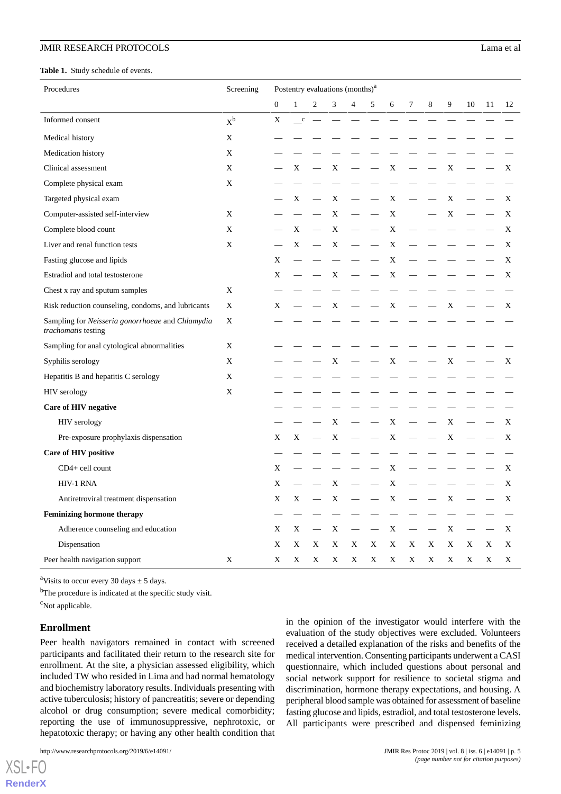#### <span id="page-4-0"></span>**Table 1.** Study schedule of events.

| Procedures                                                              | Screening | Postentry evaluations (months) <sup>a</sup> |        |                |   |                |   |   |   |   |   |    |    |    |
|-------------------------------------------------------------------------|-----------|---------------------------------------------|--------|----------------|---|----------------|---|---|---|---|---|----|----|----|
|                                                                         |           | $\boldsymbol{0}$                            | 1      | $\overline{c}$ | 3 | $\overline{4}$ | 5 | 6 | 7 | 8 | 9 | 10 | 11 | 12 |
| Informed consent                                                        | $X^b$     | X                                           | $\,$ c |                |   |                |   |   |   |   |   |    |    |    |
| Medical history                                                         | X         |                                             |        |                |   |                |   |   |   |   |   |    |    |    |
| Medication history                                                      | X         |                                             |        |                |   |                |   |   |   |   |   |    |    |    |
| Clinical assessment                                                     | X         |                                             | X      |                | X |                |   | X |   |   | X |    |    | X  |
| Complete physical exam                                                  | X         |                                             |        |                |   |                |   |   |   |   |   |    |    |    |
| Targeted physical exam                                                  |           |                                             | X      |                | X |                |   | X |   |   | X |    |    | X  |
| Computer-assisted self-interview                                        | X         |                                             |        |                | X |                |   | X |   |   | X |    |    | X  |
| Complete blood count                                                    | X         |                                             | X      |                | X |                |   | X |   |   |   |    |    | X  |
| Liver and renal function tests                                          | X         |                                             | X      |                | X |                |   | X |   |   |   |    |    | X  |
| Fasting glucose and lipids                                              |           | X                                           |        |                |   |                |   | X |   |   |   |    |    | X  |
| Estradiol and total testosterone                                        |           | X                                           |        |                | X |                |   | X |   |   |   |    |    | X  |
| Chest x ray and sputum samples                                          | X         |                                             |        |                |   |                |   |   |   |   |   |    |    |    |
| Risk reduction counseling, condoms, and lubricants                      | X         | X                                           |        |                | X |                |   | X |   |   | X |    |    | X  |
| Sampling for Neisseria gonorrhoeae and Chlamydia<br>trachomatis testing | X         |                                             |        |                |   |                |   |   |   |   |   |    |    |    |
| Sampling for anal cytological abnormalities                             | X         |                                             |        |                |   |                |   |   |   |   |   |    |    |    |
| Syphilis serology                                                       | X         |                                             |        |                | X |                |   | X |   |   | X |    |    | X  |
| Hepatitis B and hepatitis C serology                                    | X         |                                             |        |                |   |                |   |   |   |   |   |    |    |    |
| HIV serology                                                            | X         |                                             |        |                |   |                |   |   |   |   |   |    |    |    |
| <b>Care of HIV negative</b>                                             |           |                                             |        |                |   |                |   |   |   |   |   |    |    |    |
| HIV serology                                                            |           |                                             |        |                | X |                |   | X |   |   | X |    |    | X  |
| Pre-exposure prophylaxis dispensation                                   |           | X                                           | X      |                | X |                |   | X |   |   | X |    |    | X  |
| Care of HIV positive                                                    |           |                                             |        |                |   |                |   |   |   |   |   |    |    |    |
| CD4+ cell count                                                         |           | X                                           |        |                |   |                |   | X |   |   |   |    |    | X  |
| HIV-1 RNA                                                               |           | X                                           |        |                | X |                |   | X |   |   |   |    |    | X  |
| Antiretroviral treatment dispensation                                   |           | X                                           | X      |                | X |                |   | X |   |   | X |    |    | X  |
| Feminizing hormone therapy                                              |           |                                             |        |                |   |                |   |   |   |   |   |    |    |    |
| Adherence counseling and education                                      |           | X                                           | X      |                | X |                |   | X |   |   | X |    |    | X  |
| Dispensation                                                            |           | X                                           | X      | X              | X | X              | X | X | X | X | X | Χ  | X  | X  |
| Peer health navigation support                                          | X         | X                                           | X      | X              | X | X              | X | X | X | X | Χ | X  | X  | X  |

<sup>a</sup>Visits to occur every 30 days  $\pm$  5 days.

<sup>b</sup>The procedure is indicated at the specific study visit.  $\mathrm{c}_{\mathrm{Not}}$  applicable.

## **Enrollment**

Peer health navigators remained in contact with screened participants and facilitated their return to the research site for enrollment. At the site, a physician assessed eligibility, which included TW who resided in Lima and had normal hematology and biochemistry laboratory results. Individuals presenting with active tuberculosis; history of pancreatitis; severe or depending alcohol or drug consumption; severe medical comorbidity; reporting the use of immunosuppressive, nephrotoxic, or hepatotoxic therapy; or having any other health condition that in the opinion of the investigator would interfere with the evaluation of the study objectives were excluded. Volunteers received a detailed explanation of the risks and benefits of the medical intervention. Consenting participants underwent a CASI questionnaire, which included questions about personal and social network support for resilience to societal stigma and discrimination, hormone therapy expectations, and housing. A peripheral blood sample was obtained for assessment of baseline fasting glucose and lipids, estradiol, and total testosterone levels. All participants were prescribed and dispensed feminizing

 $XS$ l • FC **[RenderX](http://www.renderx.com/)**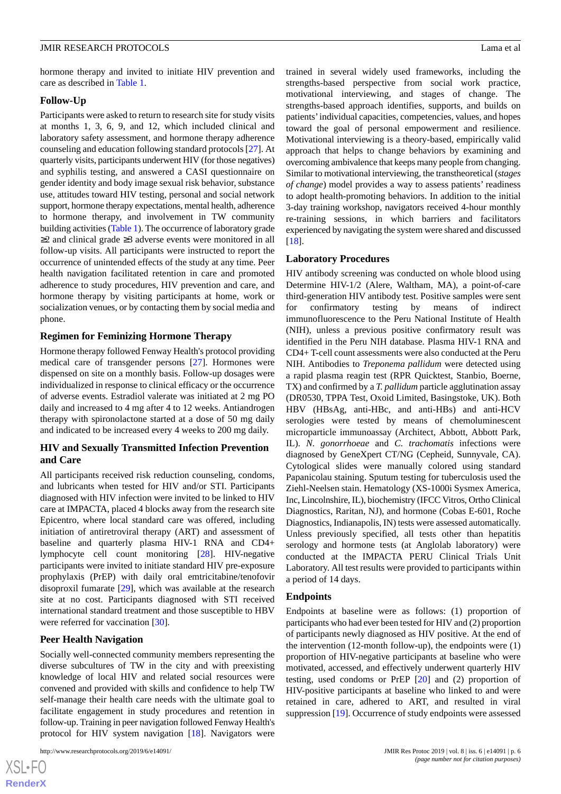hormone therapy and invited to initiate HIV prevention and care as described in [Table 1](#page-4-0).

## **Follow-Up**

Participants were asked to return to research site for study visits at months 1, 3, 6, 9, and 12, which included clinical and laboratory safety assessment, and hormone therapy adherence counseling and education following standard protocols [[27\]](#page-9-19). At quarterly visits, participants underwent HIV (for those negatives) and syphilis testing, and answered a CASI questionnaire on gender identity and body image sexual risk behavior, substance use, attitudes toward HIV testing, personal and social network support, hormone therapy expectations, mental health, adherence to hormone therapy, and involvement in TW community building activities ([Table 1](#page-4-0)). The occurrence of laboratory grade ≥2 and clinical grade ≥3 adverse events were monitored in all follow-up visits. All participants were instructed to report the occurrence of unintended effects of the study at any time. Peer health navigation facilitated retention in care and promoted adherence to study procedures, HIV prevention and care, and hormone therapy by visiting participants at home, work or socialization venues, or by contacting them by social media and phone.

## **Regimen for Feminizing Hormone Therapy**

Hormone therapy followed Fenway Health's protocol providing medical care of transgender persons [[27\]](#page-9-19). Hormones were dispensed on site on a monthly basis. Follow-up dosages were individualized in response to clinical efficacy or the occurrence of adverse events. Estradiol valerate was initiated at 2 mg PO daily and increased to 4 mg after 4 to 12 weeks. Antiandrogen therapy with spironolactone started at a dose of 50 mg daily and indicated to be increased every 4 weeks to 200 mg daily.

# **HIV and Sexually Transmitted Infection Prevention and Care**

All participants received risk reduction counseling, condoms, and lubricants when tested for HIV and/or STI. Participants diagnosed with HIV infection were invited to be linked to HIV care at IMPACTA, placed 4 blocks away from the research site Epicentro, where local standard care was offered, including initiation of antiretroviral therapy (ART) and assessment of baseline and quarterly plasma HIV-1 RNA and CD4+ lymphocyte cell count monitoring [[28\]](#page-9-20). HIV-negative participants were invited to initiate standard HIV pre-exposure prophylaxis (PrEP) with daily oral emtricitabine/tenofovir disoproxil fumarate [\[29](#page-9-21)], which was available at the research site at no cost. Participants diagnosed with STI received international standard treatment and those susceptible to HBV were referred for vaccination [\[30](#page-10-0)].

#### **Peer Health Navigation**

Socially well-connected community members representing the diverse subcultures of TW in the city and with preexisting knowledge of local HIV and related social resources were convened and provided with skills and confidence to help TW self-manage their health care needs with the ultimate goal to facilitate engagement in study procedures and retention in follow-up. Training in peer navigation followed Fenway Health's protocol for HIV system navigation [[18\]](#page-9-10). Navigators were

```
http://www.researchprotocols.org/2019/6/e14091/ JMIR Res Protoc 2019 | vol. 8 | iss. 6 | e14091 | p. 6
```
trained in several widely used frameworks, including the strengths-based perspective from social work practice, motivational interviewing, and stages of change. The strengths-based approach identifies, supports, and builds on patients'individual capacities, competencies, values, and hopes toward the goal of personal empowerment and resilience. Motivational interviewing is a theory-based, empirically valid approach that helps to change behaviors by examining and overcoming ambivalence that keeps many people from changing. Similar to motivational interviewing, the transtheoretical (*stages of change*) model provides a way to assess patients' readiness to adopt health-promoting behaviors. In addition to the initial 3-day training workshop, navigators received 4-hour monthly re-training sessions, in which barriers and facilitators experienced by navigating the system were shared and discussed [[18\]](#page-9-10).

#### **Laboratory Procedures**

HIV antibody screening was conducted on whole blood using Determine HIV-1/2 (Alere, Waltham, MA), a point-of-care third-generation HIV antibody test. Positive samples were sent for confirmatory testing by means of indirect immunofluorescence to the Peru National Institute of Health (NIH), unless a previous positive confirmatory result was identified in the Peru NIH database. Plasma HIV-1 RNA and CD4+ T-cell count assessments were also conducted at the Peru NIH. Antibodies to *Treponema pallidum* were detected using a rapid plasma reagin test (RPR Quicktest, Stanbio, Boerne, TX) and confirmed by a *T. pallidum* particle agglutination assay (DR0530, TPPA Test, Oxoid Limited, Basingstoke, UK). Both HBV (HBsAg, anti-HBc, and anti-HBs) and anti-HCV serologies were tested by means of chemoluminescent microparticle immunoassay (Architect, Abbott, Abbott Park, IL). *N. gonorrhoeae* and *C. trachomatis* infections were diagnosed by GeneXpert CT/NG (Cepheid, Sunnyvale, CA). Cytological slides were manually colored using standard Papanicolau staining. Sputum testing for tuberculosis used the Ziehl-Neelsen stain. Hematology (XS-1000i Sysmex America, Inc, Lincolnshire, IL), biochemistry (IFCC Vitros, Ortho Clinical Diagnostics, Raritan, NJ), and hormone (Cobas E-601, Roche Diagnostics, Indianapolis, IN) tests were assessed automatically. Unless previously specified, all tests other than hepatitis serology and hormone tests (at Anglolab laboratory) were conducted at the IMPACTA PERU Clinical Trials Unit Laboratory. All test results were provided to participants within a period of 14 days.

#### **Endpoints**

Endpoints at baseline were as follows: (1) proportion of participants who had ever been tested for HIV and (2) proportion of participants newly diagnosed as HIV positive. At the end of the intervention (12-month follow-up), the endpoints were (1) proportion of HIV-negative participants at baseline who were motivated, accessed, and effectively underwent quarterly HIV testing, used condoms or PrEP [[20\]](#page-9-12) and (2) proportion of HIV-positive participants at baseline who linked to and were retained in care, adhered to ART, and resulted in viral suppression [\[19](#page-9-11)]. Occurrence of study endpoints were assessed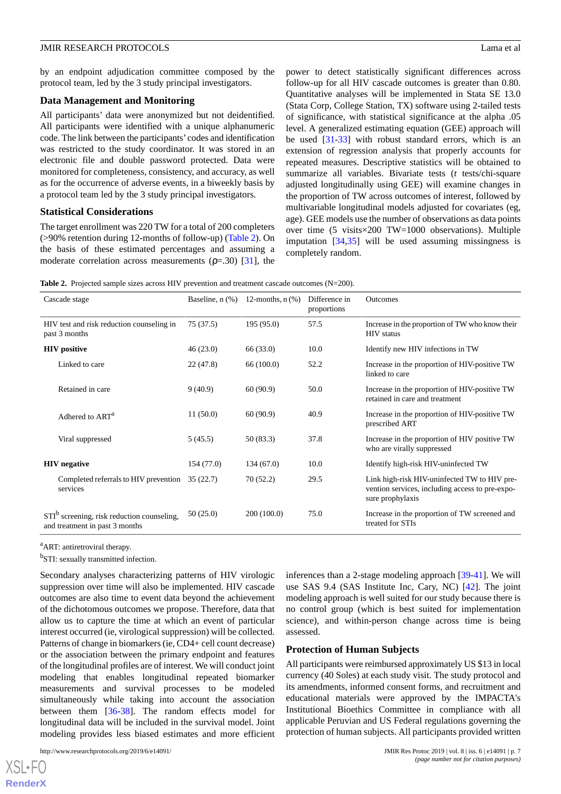by an endpoint adjudication committee composed by the protocol team, led by the 3 study principal investigators.

# **Data Management and Monitoring**

All participants' data were anonymized but not deidentified. All participants were identified with a unique alphanumeric code. The link between the participants' codes and identification was restricted to the study coordinator. It was stored in an electronic file and double password protected. Data were monitored for completeness, consistency, and accuracy, as well as for the occurrence of adverse events, in a biweekly basis by a protocol team led by the 3 study principal investigators.

## **Statistical Considerations**

The target enrollment was 220 TW for a total of 200 completers (>90% retention during 12-months of follow-up) [\(Table 2](#page-6-0)). On the basis of these estimated percentages and assuming a moderate correlation across measurements  $(\rho = .30)$  [[31\]](#page-10-1), the power to detect statistically significant differences across follow-up for all HIV cascade outcomes is greater than 0.80. Quantitative analyses will be implemented in Stata SE 13.0 (Stata Corp, College Station, TX) software using 2-tailed tests of significance, with statistical significance at the alpha .05 level. A generalized estimating equation (GEE) approach will be used [[31-](#page-10-1)[33\]](#page-10-2) with robust standard errors, which is an extension of regression analysis that properly accounts for repeated measures. Descriptive statistics will be obtained to summarize all variables. Bivariate tests (*t* tests/chi-square adjusted longitudinally using GEE) will examine changes in the proportion of TW across outcomes of interest, followed by multivariable longitudinal models adjusted for covariates (eg, age). GEE models use the number of observations as data points over time (5 visits×200 TW=1000 observations). Multiple imputation [\[34](#page-10-3),[35\]](#page-10-4) will be used assuming missingness is completely random.

<span id="page-6-0"></span>Table 2. Projected sample sizes across HIV prevention and treatment cascade outcomes (N=200).

| Cascade stage                                                                  | Baseline, $n$ $(\%)$ | 12-months, $n$ $(\%)$ | Difference in<br>proportions | <b>Outcomes</b>                                                                                                     |
|--------------------------------------------------------------------------------|----------------------|-----------------------|------------------------------|---------------------------------------------------------------------------------------------------------------------|
| HIV test and risk reduction counseling in<br>past 3 months                     | 75(37.5)             | 195(95.0)             | 57.5                         | Increase in the proportion of TW who know their<br><b>HIV</b> status                                                |
| <b>HIV</b> positive                                                            | 46(23.0)             | 66 (33.0)             | 10.0                         | Identify new HIV infections in TW                                                                                   |
| Linked to care                                                                 | 22(47.8)             | 66(100.0)             | 52.2                         | Increase in the proportion of HIV-positive TW<br>linked to care                                                     |
| Retained in care                                                               | 9(40.9)              | 60(90.9)              | 50.0                         | Increase in the proportion of HIV-positive TW<br>retained in care and treatment                                     |
| Adhered to ART <sup>a</sup>                                                    | 11(50.0)             | 60(90.9)              | 40.9                         | Increase in the proportion of HIV-positive TW<br>prescribed ART                                                     |
| Viral suppressed                                                               | 5(45.5)              | 50 (83.3)             | 37.8                         | Increase in the proportion of HIV positive TW<br>who are virally suppressed                                         |
| <b>HIV</b> negative                                                            | 154 (77.0)           | 134(67.0)             | 10.0                         | Identify high-risk HIV-uninfected TW                                                                                |
| Completed referrals to HIV prevention<br>services                              | 35(22.7)             | 70(52.2)              | 29.5                         | Link high-risk HIV-uninfected TW to HIV pre-<br>vention services, including access to pre-expo-<br>sure prophylaxis |
| $STIb$ screening, risk reduction counseling,<br>and treatment in past 3 months | 50(25.0)             | 200(100.0)            | 75.0                         | Increase in the proportion of TW screened and<br>treated for STIs                                                   |

<sup>a</sup>ART: antiretroviral therapy.

<sup>b</sup>STI: sexually transmitted infection.

Secondary analyses characterizing patterns of HIV virologic suppression over time will also be implemented. HIV cascade outcomes are also time to event data beyond the achievement of the dichotomous outcomes we propose. Therefore, data that allow us to capture the time at which an event of particular interest occurred (ie, virological suppression) will be collected. Patterns of change in biomarkers (ie, CD4+ cell count decrease) or the association between the primary endpoint and features of the longitudinal profiles are of interest. We will conduct joint modeling that enables longitudinal repeated biomarker measurements and survival processes to be modeled simultaneously while taking into account the association between them [[36-](#page-10-5)[38\]](#page-10-6). The random effects model for longitudinal data will be included in the survival model. Joint modeling provides less biased estimates and more efficient

http://www.researchprotocols.org/2019/6/e14091/ JMIR Res Protoc 2019 | vol. 8 | iss. 6 | e14091 | p. 7

 $X$ SL•F $O$ **[RenderX](http://www.renderx.com/)** inferences than a 2-stage modeling approach [[39-](#page-10-7)[41\]](#page-10-8). We will use SAS 9.4 (SAS Institute Inc, Cary, NC) [\[42](#page-10-9)]. The joint modeling approach is well suited for our study because there is no control group (which is best suited for implementation science), and within-person change across time is being assessed.

#### **Protection of Human Subjects**

All participants were reimbursed approximately US \$13 in local currency (40 Soles) at each study visit. The study protocol and its amendments, informed consent forms, and recruitment and educational materials were approved by the IMPACTA's Institutional Bioethics Committee in compliance with all applicable Peruvian and US Federal regulations governing the protection of human subjects. All participants provided written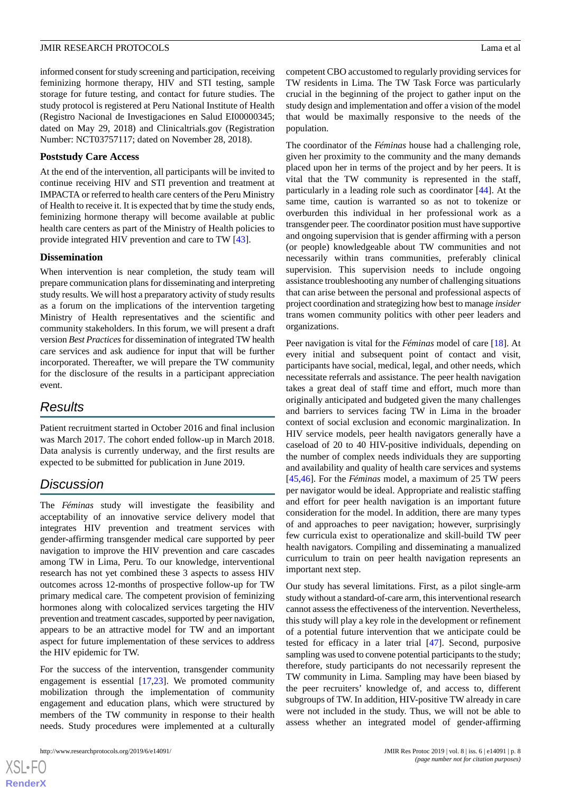informed consent for study screening and participation, receiving feminizing hormone therapy, HIV and STI testing, sample storage for future testing, and contact for future studies. The study protocol is registered at Peru National Institute of Health (Registro Nacional de Investigaciones en Salud EI00000345; dated on May 29, 2018) and Clinicaltrials.gov (Registration Number: NCT03757117; dated on November 28, 2018).

### **Poststudy Care Access**

At the end of the intervention, all participants will be invited to continue receiving HIV and STI prevention and treatment at IMPACTA or referred to health care centers of the Peru Ministry of Health to receive it. It is expected that by time the study ends, feminizing hormone therapy will become available at public health care centers as part of the Ministry of Health policies to provide integrated HIV prevention and care to TW [[43\]](#page-10-10).

### **Dissemination**

When intervention is near completion, the study team will prepare communication plans for disseminating and interpreting study results. We will host a preparatory activity of study results as a forum on the implications of the intervention targeting Ministry of Health representatives and the scientific and community stakeholders. In this forum, we will present a draft version *Best Practices*for dissemination of integrated TW health care services and ask audience for input that will be further incorporated. Thereafter, we will prepare the TW community for the disclosure of the results in a participant appreciation event.

# *Results*

Patient recruitment started in October 2016 and final inclusion was March 2017. The cohort ended follow-up in March 2018. Data analysis is currently underway, and the first results are expected to be submitted for publication in June 2019.

# *Discussion*

The *Féminas* study will investigate the feasibility and acceptability of an innovative service delivery model that integrates HIV prevention and treatment services with gender-affirming transgender medical care supported by peer navigation to improve the HIV prevention and care cascades among TW in Lima, Peru. To our knowledge, interventional research has not yet combined these 3 aspects to assess HIV outcomes across 12-months of prospective follow-up for TW primary medical care. The competent provision of feminizing hormones along with colocalized services targeting the HIV prevention and treatment cascades, supported by peer navigation, appears to be an attractive model for TW and an important aspect for future implementation of these services to address the HIV epidemic for TW.

For the success of the intervention, transgender community engagement is essential [[17](#page-9-9)[,23](#page-9-15)]. We promoted community mobilization through the implementation of community engagement and education plans, which were structured by members of the TW community in response to their health needs. Study procedures were implemented at a culturally

 $XS$  • FO **[RenderX](http://www.renderx.com/)** competent CBO accustomed to regularly providing services for TW residents in Lima. The TW Task Force was particularly crucial in the beginning of the project to gather input on the study design and implementation and offer a vision of the model that would be maximally responsive to the needs of the population.

The coordinator of the *Féminas* house had a challenging role, given her proximity to the community and the many demands placed upon her in terms of the project and by her peers. It is vital that the TW community is represented in the staff, particularly in a leading role such as coordinator [\[44](#page-10-11)]. At the same time, caution is warranted so as not to tokenize or overburden this individual in her professional work as a transgender peer. The coordinator position must have supportive and ongoing supervision that is gender affirming with a person (or people) knowledgeable about TW communities and not necessarily within trans communities, preferably clinical supervision. This supervision needs to include ongoing assistance troubleshooting any number of challenging situations that can arise between the personal and professional aspects of project coordination and strategizing how best to manage *insider* trans women community politics with other peer leaders and organizations.

Peer navigation is vital for the *Féminas* model of care [\[18](#page-9-10)]. At every initial and subsequent point of contact and visit, participants have social, medical, legal, and other needs, which necessitate referrals and assistance. The peer health navigation takes a great deal of staff time and effort, much more than originally anticipated and budgeted given the many challenges and barriers to services facing TW in Lima in the broader context of social exclusion and economic marginalization. In HIV service models, peer health navigators generally have a caseload of 20 to 40 HIV-positive individuals, depending on the number of complex needs individuals they are supporting and availability and quality of health care services and systems [[45,](#page-10-12)[46\]](#page-10-13). For the *Féminas* model, a maximum of 25 TW peers per navigator would be ideal. Appropriate and realistic staffing and effort for peer health navigation is an important future consideration for the model. In addition, there are many types of and approaches to peer navigation; however, surprisingly few curricula exist to operationalize and skill-build TW peer health navigators. Compiling and disseminating a manualized curriculum to train on peer health navigation represents an important next step.

Our study has several limitations. First, as a pilot single-arm study without a standard-of-care arm, this interventional research cannot assess the effectiveness of the intervention. Nevertheless, this study will play a key role in the development or refinement of a potential future intervention that we anticipate could be tested for efficacy in a later trial [[47\]](#page-10-14). Second, purposive sampling was used to convene potential participants to the study; therefore, study participants do not necessarily represent the TW community in Lima. Sampling may have been biased by the peer recruiters' knowledge of, and access to, different subgroups of TW. In addition, HIV-positive TW already in care were not included in the study. Thus, we will not be able to assess whether an integrated model of gender-affirming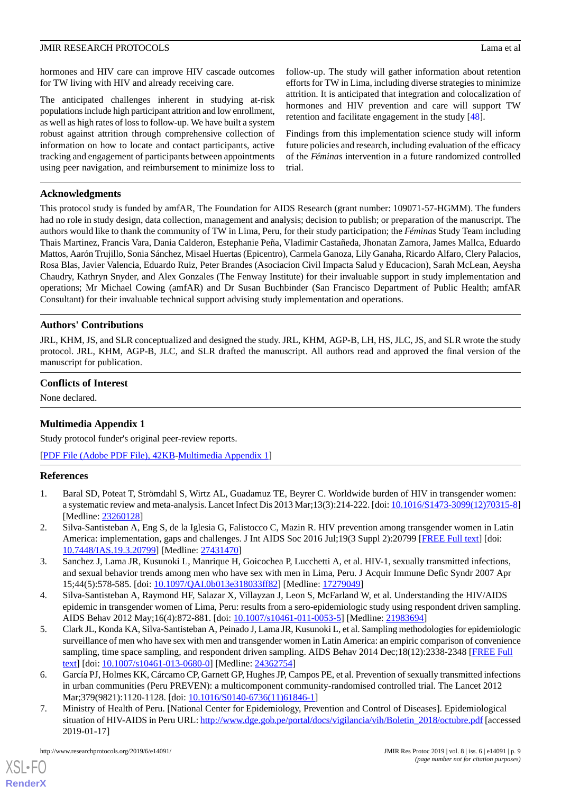hormones and HIV care can improve HIV cascade outcomes for TW living with HIV and already receiving care.

The anticipated challenges inherent in studying at-risk populations include high participant attrition and low enrollment, as well as high rates of loss to follow-up. We have built a system robust against attrition through comprehensive collection of information on how to locate and contact participants, active tracking and engagement of participants between appointments using peer navigation, and reimbursement to minimize loss to

follow-up. The study will gather information about retention efforts for TW in Lima, including diverse strategies to minimize attrition. It is anticipated that integration and colocalization of hormones and HIV prevention and care will support TW retention and facilitate engagement in the study [\[48](#page-10-15)].

Findings from this implementation science study will inform future policies and research, including evaluation of the efficacy of the *Féminas* intervention in a future randomized controlled trial.

# **Acknowledgments**

This protocol study is funded by amfAR, The Foundation for AIDS Research (grant number: 109071-57-HGMM). The funders had no role in study design, data collection, management and analysis; decision to publish; or preparation of the manuscript. The authors would like to thank the community of TW in Lima, Peru, for their study participation; the *Féminas* Study Team including Thais Martinez, Francis Vara, Dania Calderon, Estephanie Peña, Vladimir Castañeda, Jhonatan Zamora, James Mallca, Eduardo Mattos, Aarón Trujillo, Sonia Sánchez, Misael Huertas (Epicentro), Carmela Ganoza, Lily Ganaha, Ricardo Alfaro, Clery Palacios, Rosa Blas, Javier Valencia, Eduardo Ruiz, Peter Brandes (Asociacion Civil Impacta Salud y Educacion), Sarah McLean, Aeysha Chaudry, Kathryn Snyder, and Alex Gonzales (The Fenway Institute) for their invaluable support in study implementation and operations; Mr Michael Cowing (amfAR) and Dr Susan Buchbinder (San Francisco Department of Public Health; amfAR Consultant) for their invaluable technical support advising study implementation and operations.

# **Authors' Contributions**

JRL, KHM, JS, and SLR conceptualized and designed the study. JRL, KHM, AGP-B, LH, HS, JLC, JS, and SLR wrote the study protocol. JRL, KHM, AGP-B, JLC, and SLR drafted the manuscript. All authors read and approved the final version of the manuscript for publication.

# **Conflicts of Interest**

None declared.

# **Multimedia Appendix 1**

<span id="page-8-0"></span>Study protocol funder's original peer-review reports.

[[PDF File \(Adobe PDF File\), 42KB-Multimedia Appendix 1](https://jmir.org/api/download?alt_name=resprot_v8i6e14091_app1.pdf&filename=4a480a403f377562fcbf396c32e6060a.pdf)]

# <span id="page-8-1"></span>**References**

- <span id="page-8-2"></span>1. Baral SD, Poteat T, Strömdahl S, Wirtz AL, Guadamuz TE, Beyrer C. Worldwide burden of HIV in transgender women: a systematic review and meta-analysis. Lancet Infect Dis 2013 Mar;13(3):214-222. [doi: [10.1016/S1473-3099\(12\)70315-8](http://dx.doi.org/10.1016/S1473-3099(12)70315-8)] [Medline: [23260128](http://www.ncbi.nlm.nih.gov/entrez/query.fcgi?cmd=Retrieve&db=PubMed&list_uids=23260128&dopt=Abstract)]
- <span id="page-8-6"></span>2. Silva-Santisteban A, Eng S, de la Iglesia G, Falistocco C, Mazin R. HIV prevention among transgender women in Latin America: implementation, gaps and challenges. J Int AIDS Soc 2016 Jul;19(3 Suppl 2):20799 [[FREE Full text](http://europepmc.org/abstract/MED/27431470)] [doi: [10.7448/IAS.19.3.20799](http://dx.doi.org/10.7448/IAS.19.3.20799)] [Medline: [27431470](http://www.ncbi.nlm.nih.gov/entrez/query.fcgi?cmd=Retrieve&db=PubMed&list_uids=27431470&dopt=Abstract)]
- <span id="page-8-3"></span>3. Sanchez J, Lama JR, Kusunoki L, Manrique H, Goicochea P, Lucchetti A, et al. HIV-1, sexually transmitted infections, and sexual behavior trends among men who have sex with men in Lima, Peru. J Acquir Immune Defic Syndr 2007 Apr 15;44(5):578-585. [doi: [10.1097/QAI.0b013e318033ff82\]](http://dx.doi.org/10.1097/QAI.0b013e318033ff82) [Medline: [17279049\]](http://www.ncbi.nlm.nih.gov/entrez/query.fcgi?cmd=Retrieve&db=PubMed&list_uids=17279049&dopt=Abstract)
- <span id="page-8-4"></span>4. Silva-Santisteban A, Raymond HF, Salazar X, Villayzan J, Leon S, McFarland W, et al. Understanding the HIV/AIDS epidemic in transgender women of Lima, Peru: results from a sero-epidemiologic study using respondent driven sampling. AIDS Behav 2012 May;16(4):872-881. [doi: [10.1007/s10461-011-0053-5](http://dx.doi.org/10.1007/s10461-011-0053-5)] [Medline: [21983694\]](http://www.ncbi.nlm.nih.gov/entrez/query.fcgi?cmd=Retrieve&db=PubMed&list_uids=21983694&dopt=Abstract)
- <span id="page-8-5"></span>5. Clark JL, Konda KA, Silva-Santisteban A, Peinado J, Lama JR, Kusunoki L, et al. Sampling methodologies for epidemiologic surveillance of men who have sex with men and transgender women in Latin America: an empiric comparison of convenience sampling, time space sampling, and respondent driven sampling. AIDS Behav 2014 Dec;18(12):2338-2348 [\[FREE Full](http://europepmc.org/abstract/MED/24362754) [text](http://europepmc.org/abstract/MED/24362754)] [doi: [10.1007/s10461-013-0680-0\]](http://dx.doi.org/10.1007/s10461-013-0680-0) [Medline: [24362754](http://www.ncbi.nlm.nih.gov/entrez/query.fcgi?cmd=Retrieve&db=PubMed&list_uids=24362754&dopt=Abstract)]
- 6. García PJ, Holmes KK, Cárcamo CP, Garnett GP, Hughes JP, Campos PE, et al. Prevention of sexually transmitted infections in urban communities (Peru PREVEN): a multicomponent community-randomised controlled trial. The Lancet 2012 Mar; 379(9821): 1120-1128. [doi: 10.1016/S0140-6736(11) 61846-1]
- 7. Ministry of Health of Peru. [National Center for Epidemiology, Prevention and Control of Diseases]. Epidemiological situation of HIV-AIDS in Peru URL: [http://www.dge.gob.pe/portal/docs/vigilancia/vih/Boletin\\_2018/octubre.pdf](http://www.dge.gob.pe/portal/docs/vigilancia/vih/Boletin_2018/octubre.pdf) [accessed 2019-01-17]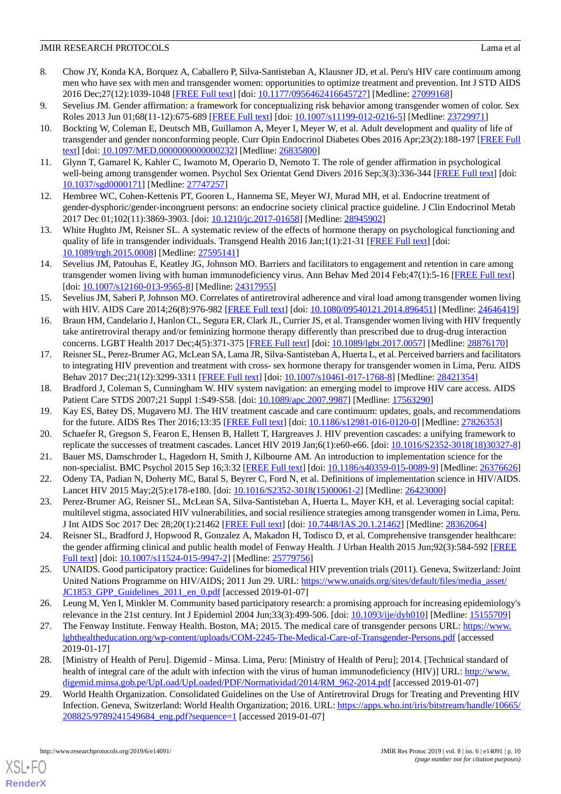- <span id="page-9-0"></span>8. Chow JY, Konda KA, Borquez A, Caballero P, Silva-Santisteban A, Klausner JD, et al. Peru's HIV care continuum among men who have sex with men and transgender women: opportunities to optimize treatment and prevention. Int J STD AIDS 2016 Dec;27(12):1039-1048 [\[FREE Full text\]](http://europepmc.org/abstract/MED/27099168) [doi: [10.1177/0956462416645727](http://dx.doi.org/10.1177/0956462416645727)] [Medline: [27099168](http://www.ncbi.nlm.nih.gov/entrez/query.fcgi?cmd=Retrieve&db=PubMed&list_uids=27099168&dopt=Abstract)]
- <span id="page-9-2"></span><span id="page-9-1"></span>9. Sevelius JM. Gender affirmation: a framework for conceptualizing risk behavior among transgender women of color. Sex Roles 2013 Jun 01;68(11-12):675-689 [\[FREE Full text\]](http://europepmc.org/abstract/MED/23729971) [doi: [10.1007/s11199-012-0216-5](http://dx.doi.org/10.1007/s11199-012-0216-5)] [Medline: [23729971\]](http://www.ncbi.nlm.nih.gov/entrez/query.fcgi?cmd=Retrieve&db=PubMed&list_uids=23729971&dopt=Abstract)
- 10. Bockting W, Coleman E, Deutsch MB, Guillamon A, Meyer I, Meyer W, et al. Adult development and quality of life of transgender and gender nonconforming people. Curr Opin Endocrinol Diabetes Obes 2016 Apr;23(2):188-197 [[FREE Full](http://europepmc.org/abstract/MED/26835800) [text](http://europepmc.org/abstract/MED/26835800)] [doi: [10.1097/MED.0000000000000232\]](http://dx.doi.org/10.1097/MED.0000000000000232) [Medline: [26835800](http://www.ncbi.nlm.nih.gov/entrez/query.fcgi?cmd=Retrieve&db=PubMed&list_uids=26835800&dopt=Abstract)]
- <span id="page-9-4"></span><span id="page-9-3"></span>11. Glynn T, Gamarel K, Kahler C, Iwamoto M, Operario D, Nemoto T. The role of gender affirmation in psychological well-being among transgender women. Psychol Sex Orientat Gend Divers 2016 Sep;3(3):336-344 [[FREE Full text](http://europepmc.org/abstract/MED/27747257)] [doi: [10.1037/sgd0000171\]](http://dx.doi.org/10.1037/sgd0000171) [Medline: [27747257](http://www.ncbi.nlm.nih.gov/entrez/query.fcgi?cmd=Retrieve&db=PubMed&list_uids=27747257&dopt=Abstract)]
- <span id="page-9-5"></span>12. Hembree WC, Cohen-Kettenis PT, Gooren L, Hannema SE, Meyer WJ, Murad MH, et al. Endocrine treatment of gender-dysphoric/gender-incongruent persons: an endocrine society clinical practice guideline. J Clin Endocrinol Metab 2017 Dec 01;102(11):3869-3903. [doi: [10.1210/jc.2017-01658\]](http://dx.doi.org/10.1210/jc.2017-01658) [Medline: [28945902\]](http://www.ncbi.nlm.nih.gov/entrez/query.fcgi?cmd=Retrieve&db=PubMed&list_uids=28945902&dopt=Abstract)
- <span id="page-9-6"></span>13. White Hughto JM, Reisner SL. A systematic review of the effects of hormone therapy on psychological functioning and quality of life in transgender individuals. Transgend Health 2016 Jan;1(1):21-31 [[FREE Full text](http://europepmc.org/abstract/MED/27595141)] [doi: [10.1089/trgh.2015.0008\]](http://dx.doi.org/10.1089/trgh.2015.0008) [Medline: [27595141](http://www.ncbi.nlm.nih.gov/entrez/query.fcgi?cmd=Retrieve&db=PubMed&list_uids=27595141&dopt=Abstract)]
- <span id="page-9-7"></span>14. Sevelius JM, Patouhas E, Keatley JG, Johnson MO. Barriers and facilitators to engagement and retention in care among transgender women living with human immunodeficiency virus. Ann Behav Med 2014 Feb;47(1):5-16 [\[FREE Full text\]](http://europepmc.org/abstract/MED/24317955) [doi: [10.1007/s12160-013-9565-8](http://dx.doi.org/10.1007/s12160-013-9565-8)] [Medline: [24317955\]](http://www.ncbi.nlm.nih.gov/entrez/query.fcgi?cmd=Retrieve&db=PubMed&list_uids=24317955&dopt=Abstract)
- <span id="page-9-8"></span>15. Sevelius JM, Saberi P, Johnson MO. Correlates of antiretroviral adherence and viral load among transgender women living with HIV. AIDS Care 2014;26(8):976-982 [[FREE Full text](http://europepmc.org/abstract/MED/24646419)] [doi: [10.1080/09540121.2014.896451\]](http://dx.doi.org/10.1080/09540121.2014.896451) [Medline: [24646419\]](http://www.ncbi.nlm.nih.gov/entrez/query.fcgi?cmd=Retrieve&db=PubMed&list_uids=24646419&dopt=Abstract)
- <span id="page-9-9"></span>16. Braun HM, Candelario J, Hanlon CL, Segura ER, Clark JL, Currier JS, et al. Transgender women living with HIV frequently take antiretroviral therapy and/or feminizing hormone therapy differently than prescribed due to drug-drug interaction concerns. LGBT Health 2017 Dec;4(5):371-375 [[FREE Full text](http://europepmc.org/abstract/MED/28876170)] [doi: [10.1089/lgbt.2017.0057](http://dx.doi.org/10.1089/lgbt.2017.0057)] [Medline: [28876170](http://www.ncbi.nlm.nih.gov/entrez/query.fcgi?cmd=Retrieve&db=PubMed&list_uids=28876170&dopt=Abstract)]
- <span id="page-9-11"></span><span id="page-9-10"></span>17. Reisner SL, Perez-Brumer AG, McLean SA, Lama JR, Silva-Santisteban A, Huerta L, et al. Perceived barriers and facilitators to integrating HIV prevention and treatment with cross- sex hormone therapy for transgender women in Lima, Peru. AIDS Behav 2017 Dec;21(12):3299-3311 [\[FREE Full text\]](http://europepmc.org/abstract/MED/28421354) [doi: [10.1007/s10461-017-1768-8](http://dx.doi.org/10.1007/s10461-017-1768-8)] [Medline: [28421354\]](http://www.ncbi.nlm.nih.gov/entrez/query.fcgi?cmd=Retrieve&db=PubMed&list_uids=28421354&dopt=Abstract)
- <span id="page-9-12"></span>18. Bradford J, Coleman S, Cunningham W. HIV system navigation: an emerging model to improve HIV care access. AIDS Patient Care STDS 2007;21 Suppl 1:S49-S58. [doi: [10.1089/apc.2007.9987\]](http://dx.doi.org/10.1089/apc.2007.9987) [Medline: [17563290\]](http://www.ncbi.nlm.nih.gov/entrez/query.fcgi?cmd=Retrieve&db=PubMed&list_uids=17563290&dopt=Abstract)
- <span id="page-9-13"></span>19. Kay ES, Batey DS, Mugavero MJ. The HIV treatment cascade and care continuum: updates, goals, and recommendations for the future. AIDS Res Ther 2016;13:35 [\[FREE Full text\]](https://aidsrestherapy.biomedcentral.com/articles/10.1186/s12981-016-0120-0) [doi: [10.1186/s12981-016-0120-0](http://dx.doi.org/10.1186/s12981-016-0120-0)] [Medline: [27826353\]](http://www.ncbi.nlm.nih.gov/entrez/query.fcgi?cmd=Retrieve&db=PubMed&list_uids=27826353&dopt=Abstract)
- <span id="page-9-14"></span>20. Schaefer R, Gregson S, Fearon E, Hensen B, Hallett T, Hargreaves J. HIV prevention cascades: a unifying framework to replicate the successes of treatment cascades. Lancet HIV 2019 Jan;6(1):e60-e66. [doi: [10.1016/S2352-3018\(18\)30327-8](http://dx.doi.org/10.1016/S2352-3018(18)30327-8)]
- <span id="page-9-15"></span>21. Bauer MS, Damschroder L, Hagedorn H, Smith J, Kilbourne AM. An introduction to implementation science for the non-specialist. BMC Psychol 2015 Sep 16;3:32 [\[FREE Full text](https://bmcpsychology.biomedcentral.com/articles/10.1186/s40359-015-0089-9)] [doi: [10.1186/s40359-015-0089-9](http://dx.doi.org/10.1186/s40359-015-0089-9)] [Medline: [26376626](http://www.ncbi.nlm.nih.gov/entrez/query.fcgi?cmd=Retrieve&db=PubMed&list_uids=26376626&dopt=Abstract)]
- <span id="page-9-16"></span>22. Odeny TA, Padian N, Doherty MC, Baral S, Beyrer C, Ford N, et al. Definitions of implementation science in HIV/AIDS. Lancet HIV 2015 May;2(5):e178-e180. [doi: [10.1016/S2352-3018\(15\)00061-2](http://dx.doi.org/10.1016/S2352-3018(15)00061-2)] [Medline: [26423000](http://www.ncbi.nlm.nih.gov/entrez/query.fcgi?cmd=Retrieve&db=PubMed&list_uids=26423000&dopt=Abstract)]
- <span id="page-9-17"></span>23. Perez-Brumer AG, Reisner SL, McLean SA, Silva-Santisteban A, Huerta L, Mayer KH, et al. Leveraging social capital: multilevel stigma, associated HIV vulnerabilities, and social resilience strategies among transgender women in Lima, Peru. J Int AIDS Soc 2017 Dec 28;20(1):21462 [\[FREE Full text](http://europepmc.org/abstract/MED/28362064)] [doi: [10.7448/IAS.20.1.21462\]](http://dx.doi.org/10.7448/IAS.20.1.21462) [Medline: [28362064](http://www.ncbi.nlm.nih.gov/entrez/query.fcgi?cmd=Retrieve&db=PubMed&list_uids=28362064&dopt=Abstract)]
- <span id="page-9-18"></span>24. Reisner SL, Bradford J, Hopwood R, Gonzalez A, Makadon H, Todisco D, et al. Comprehensive transgender healthcare: the gender affirming clinical and public health model of Fenway Health. J Urban Health 2015 Jun;92(3):584-592 [[FREE](http://europepmc.org/abstract/MED/25779756) [Full text\]](http://europepmc.org/abstract/MED/25779756) [doi: [10.1007/s11524-015-9947-2](http://dx.doi.org/10.1007/s11524-015-9947-2)] [Medline: [25779756](http://www.ncbi.nlm.nih.gov/entrez/query.fcgi?cmd=Retrieve&db=PubMed&list_uids=25779756&dopt=Abstract)]
- <span id="page-9-19"></span>25. UNAIDS. Good participatory practice: Guidelines for biomedical HIV prevention trials (2011). Geneva, Switzerland: Joint United Nations Programme on HIV/AIDS; 2011 Jun 29. URL: [https://www.unaids.org/sites/default/files/media\\_asset/](https://www.unaids.org/sites/default/files/media_asset/JC1853_GPP_Guidelines_2011_en_0.pdf) JC1853 GPP Guidelines 2011 en 0.pdf [accessed 2019-01-07]
- <span id="page-9-20"></span>26. Leung M, Yen I, Minkler M. Community based participatory research: a promising approach for increasing epidemiology's relevance in the 21st century. Int J Epidemiol 2004 Jun;33(3):499-506. [doi: [10.1093/ije/dyh010\]](http://dx.doi.org/10.1093/ije/dyh010) [Medline: [15155709\]](http://www.ncbi.nlm.nih.gov/entrez/query.fcgi?cmd=Retrieve&db=PubMed&list_uids=15155709&dopt=Abstract)
- <span id="page-9-21"></span>27. The Fenway Institute. Fenway Health. Boston, MA; 2015. The medical care of transgender persons URL: [https://www.](https://www.lgbthealtheducation.org/wp-content/uploads/COM-2245-The-Medical-Care-of-Transgender-Persons.pdf) [lgbthealtheducation.org/wp-content/uploads/COM-2245-The-Medical-Care-of-Transgender-Persons.pdf](https://www.lgbthealtheducation.org/wp-content/uploads/COM-2245-The-Medical-Care-of-Transgender-Persons.pdf) [accessed 2019-01-17]
- 28. [Ministry of Health of Peru]. Digemid Minsa. Lima, Peru: [Ministry of Health of Peru]; 2014. [Technical standard of health of integral care of the adult with infection with the virus of human immunodeficiency (HIV)] URL: [http://www.](http://www.digemid.minsa.gob.pe/UpLoad/UpLoaded/PDF/Normatividad/2014/RM_962-2014.pdf) [digemid.minsa.gob.pe/UpLoad/UpLoaded/PDF/Normatividad/2014/RM\\_962-2014.pdf](http://www.digemid.minsa.gob.pe/UpLoad/UpLoaded/PDF/Normatividad/2014/RM_962-2014.pdf) [accessed 2019-01-07]
- 29. World Health Organization. Consolidated Guidelines on the Use of Antiretroviral Drugs for Treating and Preventing HIV Infection. Geneva, Switzerland: World Health Organization; 2016. URL: [https://apps.who.int/iris/bitstream/handle/10665/](https://apps.who.int/iris/bitstream/handle/10665/208825/9789241549684_eng.pdf?sequence=1) 208825/9789241549684 eng.pdf?sequence=1 [accessed 2019-01-07]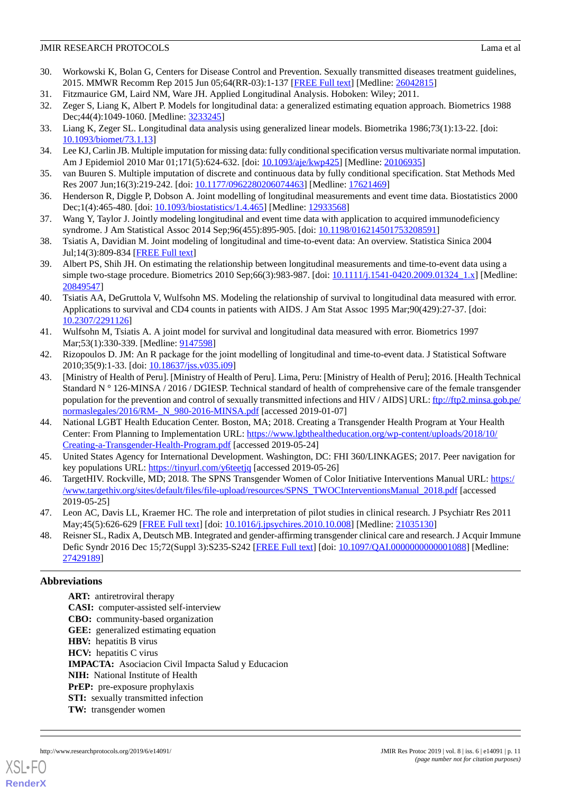- <span id="page-10-0"></span>30. Workowski K, Bolan G, Centers for Disease Control and Prevention. Sexually transmitted diseases treatment guidelines, 2015. MMWR Recomm Rep 2015 Jun 05;64(RR-03):1-137 [\[FREE Full text](https://www.cdc.gov/mmwr/preview/mmwrhtml/rr6403a1.htm)] [Medline: [26042815](http://www.ncbi.nlm.nih.gov/entrez/query.fcgi?cmd=Retrieve&db=PubMed&list_uids=26042815&dopt=Abstract)]
- <span id="page-10-1"></span>31. Fitzmaurice GM, Laird NM, Ware JH. Applied Longitudinal Analysis. Hoboken: Wiley; 2011.
- <span id="page-10-2"></span>32. Zeger S, Liang K, Albert P. Models for longitudinal data: a generalized estimating equation approach. Biometrics 1988 Dec; 44(4): 1049-1060. [Medline: [3233245](http://www.ncbi.nlm.nih.gov/entrez/query.fcgi?cmd=Retrieve&db=PubMed&list_uids=3233245&dopt=Abstract)]
- <span id="page-10-3"></span>33. Liang K, Zeger SL. Longitudinal data analysis using generalized linear models. Biometrika 1986;73(1):13-22. [doi: [10.1093/biomet/73.1.13](http://dx.doi.org/10.1093/biomet/73.1.13)]
- <span id="page-10-4"></span>34. Lee KJ, Carlin JB. Multiple imputation for missing data: fully conditional specification versus multivariate normal imputation. Am J Epidemiol 2010 Mar 01;171(5):624-632. [doi: [10.1093/aje/kwp425](http://dx.doi.org/10.1093/aje/kwp425)] [Medline: [20106935\]](http://www.ncbi.nlm.nih.gov/entrez/query.fcgi?cmd=Retrieve&db=PubMed&list_uids=20106935&dopt=Abstract)
- <span id="page-10-5"></span>35. van Buuren S. Multiple imputation of discrete and continuous data by fully conditional specification. Stat Methods Med Res 2007 Jun;16(3):219-242. [doi: [10.1177/0962280206074463\]](http://dx.doi.org/10.1177/0962280206074463) [Medline: [17621469](http://www.ncbi.nlm.nih.gov/entrez/query.fcgi?cmd=Retrieve&db=PubMed&list_uids=17621469&dopt=Abstract)]
- 36. Henderson R, Diggle P, Dobson A. Joint modelling of longitudinal measurements and event time data. Biostatistics 2000 Dec;1(4):465-480. [doi: [10.1093/biostatistics/1.4.465\]](http://dx.doi.org/10.1093/biostatistics/1.4.465) [Medline: [12933568\]](http://www.ncbi.nlm.nih.gov/entrez/query.fcgi?cmd=Retrieve&db=PubMed&list_uids=12933568&dopt=Abstract)
- <span id="page-10-6"></span>37. Wang Y, Taylor J. Jointly modeling longitudinal and event time data with application to acquired immunodeficiency syndrome. J Am Statistical Assoc 2014 Sep;96(455):895-905. [doi: [10.1198/016214501753208591\]](http://dx.doi.org/10.1198/016214501753208591)
- <span id="page-10-7"></span>38. Tsiatis A, Davidian M. Joint modeling of longitudinal and time-to-event data: An overview. Statistica Sinica 2004 Jul;14(3):809-834 [[FREE Full text\]](http://www3.stat.sinica.edu.tw/statistica/oldpdf/A14n39.pdf)
- 39. Albert PS, Shih JH. On estimating the relationship between longitudinal measurements and time-to-event data using a simple two-stage procedure. Biometrics 2010 Sep;66(3):983-987. [doi: 10.1111/j.1541-0420.2009.01324 1.x] [Medline: [20849547](http://www.ncbi.nlm.nih.gov/entrez/query.fcgi?cmd=Retrieve&db=PubMed&list_uids=20849547&dopt=Abstract)]
- <span id="page-10-8"></span>40. Tsiatis AA, DeGruttola V, Wulfsohn MS. Modeling the relationship of survival to longitudinal data measured with error. Applications to survival and CD4 counts in patients with AIDS. J Am Stat Assoc 1995 Mar;90(429):27-37. [doi: [10.2307/2291126\]](http://dx.doi.org/10.2307/2291126)
- <span id="page-10-10"></span><span id="page-10-9"></span>41. Wulfsohn M, Tsiatis A. A joint model for survival and longitudinal data measured with error. Biometrics 1997 Mar;53(1):330-339. [Medline: [9147598\]](http://www.ncbi.nlm.nih.gov/entrez/query.fcgi?cmd=Retrieve&db=PubMed&list_uids=9147598&dopt=Abstract)
- 42. Rizopoulos D. JM: An R package for the joint modelling of longitudinal and time-to-event data. J Statistical Software 2010;35(9):1-33. [doi: [10.18637/jss.v035.i09](http://dx.doi.org/10.18637/jss.v035.i09)]
- <span id="page-10-11"></span>43. [Ministry of Health of Peru]. [Ministry of Health of Peru]. Lima, Peru: [Ministry of Health of Peru]; 2016. [Health Technical Standard N ° 126-MINSA / 2016 / DGIESP. Technical standard of health of comprehensive care of the female transgender population for the prevention and control of sexually transmitted infections and HIV / AIDS] URL: [ftp://ftp2.minsa.gob.pe/](ftp://ftp2.minsa.gob.pe/normaslegales/2016/RM-_N_980-2016-MINSA.pdf) [normaslegales/2016/RM-\\_N\\_980-2016-MINSA.pdf](ftp://ftp2.minsa.gob.pe/normaslegales/2016/RM-_N_980-2016-MINSA.pdf) [accessed 2019-01-07]
- <span id="page-10-13"></span><span id="page-10-12"></span>44. National LGBT Health Education Center. Boston, MA; 2018. Creating a Transgender Health Program at Your Health Center: From Planning to Implementation URL: [https://www.lgbthealtheducation.org/wp-content/uploads/2018/10/](https://www.lgbthealtheducation.org/wp-content/uploads/2018/10/Creating-a-Transgender-Health-Program.pdf) [Creating-a-Transgender-Health-Program.pdf](https://www.lgbthealtheducation.org/wp-content/uploads/2018/10/Creating-a-Transgender-Health-Program.pdf) [accessed 2019-05-24]
- <span id="page-10-14"></span>45. United States Agency for International Development. Washington, DC: FHI 360/LINKAGES; 2017. Peer navigation for key populations URL: [https://tinyurl.com/y6teetjq](https://www.fhi360.org/sites/default/files/media/documents/resource-linkages-peer-navigation-implementation.pdf) [accessed 2019-05-26]
- <span id="page-10-15"></span>46. TargetHIV. Rockville, MD; 2018. The SPNS Transgender Women of Color Initiative Interventions Manual URL: [https:/](https://www.targethiv.org/sites/default/files/file-upload/resources/SPNS_TWOCInterventionsManual_2018.pdf) [/www.targethiv.org/sites/default/files/file-upload/resources/SPNS\\_TWOCInterventionsManual\\_2018.pdf](https://www.targethiv.org/sites/default/files/file-upload/resources/SPNS_TWOCInterventionsManual_2018.pdf) [accessed 2019-05-25]
- 47. Leon AC, Davis LL, Kraemer HC. The role and interpretation of pilot studies in clinical research. J Psychiatr Res 2011 May;45(5):626-629 [\[FREE Full text\]](http://europepmc.org/abstract/MED/21035130) [doi: [10.1016/j.jpsychires.2010.10.008](http://dx.doi.org/10.1016/j.jpsychires.2010.10.008)] [Medline: [21035130](http://www.ncbi.nlm.nih.gov/entrez/query.fcgi?cmd=Retrieve&db=PubMed&list_uids=21035130&dopt=Abstract)]
- 48. Reisner SL, Radix A, Deutsch MB. Integrated and gender-affirming transgender clinical care and research. J Acquir Immune Defic Syndr 2016 Dec 15;72(Suppl 3):S235-S242 [[FREE Full text](http://europepmc.org/abstract/MED/27429189)] [doi: [10.1097/QAI.0000000000001088](http://dx.doi.org/10.1097/QAI.0000000000001088)] [Medline: [27429189](http://www.ncbi.nlm.nih.gov/entrez/query.fcgi?cmd=Retrieve&db=PubMed&list_uids=27429189&dopt=Abstract)]

# **Abbreviations**

- **ART:** antiretroviral therapy
- **CASI:** computer-assisted self-interview
- **CBO:** community-based organization
- **GEE:** generalized estimating equation
- **HBV:** hepatitis B virus
- **HCV:** hepatitis C virus

**IMPACTA:** Asociacion Civil Impacta Salud y Educacion

- **NIH:** National Institute of Health
- **PrEP:** pre-exposure prophylaxis
- **STI:** sexually transmitted infection
- **TW:** transgender women